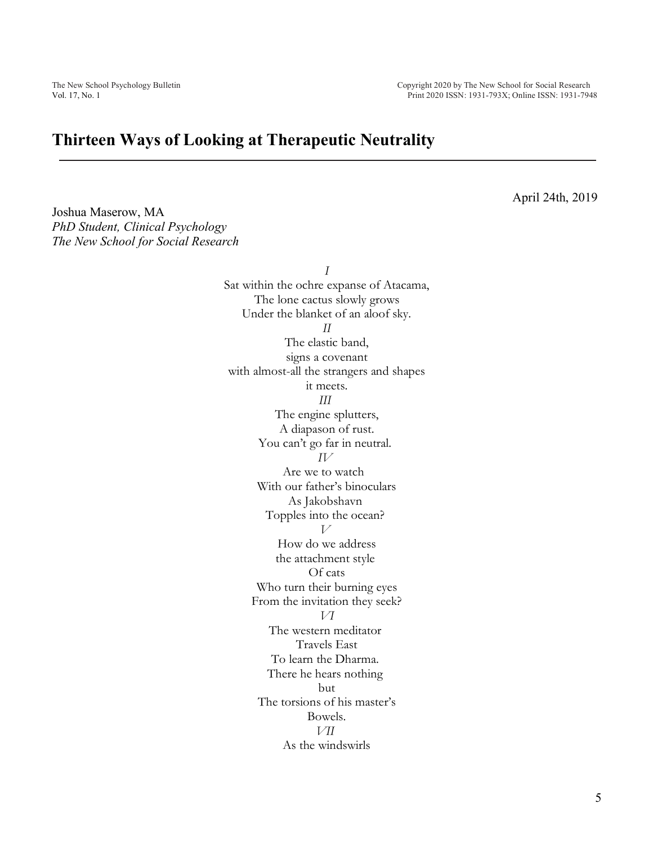## **Thirteen Ways of Looking at Therapeutic Neutrality**

April 24th, 2019

Joshua Maserow, MA *PhD Student, Clinical Psychology The New School for Social Research*

> *I* Sat within the ochre expanse of Atacama, The lone cactus slowly grows Under the blanket of an aloof sky. *II* The elastic band, signs a covenant with almost-all the strangers and shapes it meets. *III* The engine splutters, A diapason of rust. You can't go far in neutral. *IV* Are we to watch With our father's binoculars As Jakobshavn Topples into the ocean? *V* How do we address the attachment style Of cats Who turn their burning eyes From the invitation they seek? *VI* The western meditator Travels East To learn the Dharma. There he hears nothing but The torsions of his master's Bowels. *VII* As the windswirls